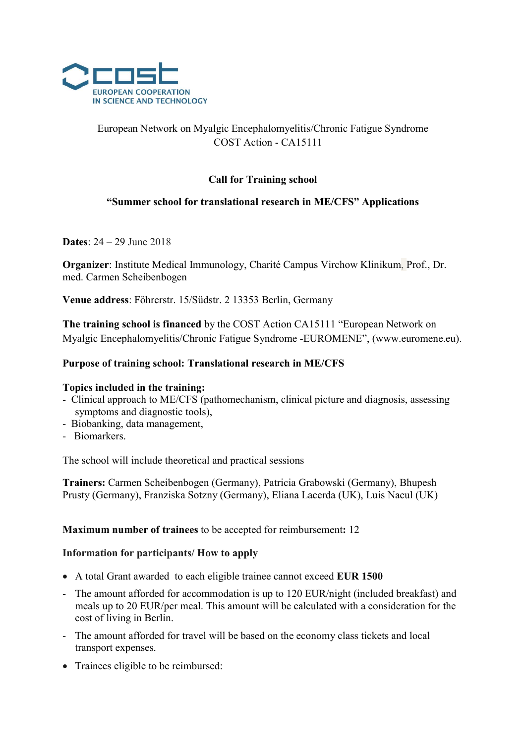

# European Network on Myalgic Encephalomyelitis/Chronic Fatigue Syndrome COST Action - CA15111

# Call for Training school

## "Summer school for translational research in ME/CFS" Applications

Dates: 24 – 29 June 2018

Organizer: Institute Medical Immunology, Charité Campus Virchow Klinikum, Prof., Dr. med. Carmen Scheibenbogen

Venue address: Föhrerstr. 15/Südstr. 2 13353 Berlin, Germany

The training school is financed by the COST Action CA15111 "European Network on Myalgic Encephalomyelitis/Chronic Fatigue Syndrome -EUROMENE", (www.euromene.eu).

### Purpose of training school: Translational research in ME/CFS

#### Topics included in the training:

- Clinical approach to ME/CFS (pathomechanism, clinical picture and diagnosis, assessing symptoms and diagnostic tools),
- Biobanking, data management,
- Biomarkers.

The school will include theoretical and practical sessions

Trainers: Carmen Scheibenbogen (Germany), Patricia Grabowski (Germany), Bhupesh Prusty (Germany), Franziska Sotzny (Germany), Eliana Lacerda (UK), Luis Nacul (UK)

Maximum number of trainees to be accepted for reimbursement: 12

#### Information for participants/ How to apply

- A total Grant awarded to each eligible trainee cannot exceed EUR 1500
- The amount afforded for accommodation is up to 120 EUR/night (included breakfast) and meals up to 20 EUR/per meal. This amount will be calculated with a consideration for the cost of living in Berlin.
- The amount afforded for travel will be based on the economy class tickets and local transport expenses.
- Trainees eligible to be reimbursed: